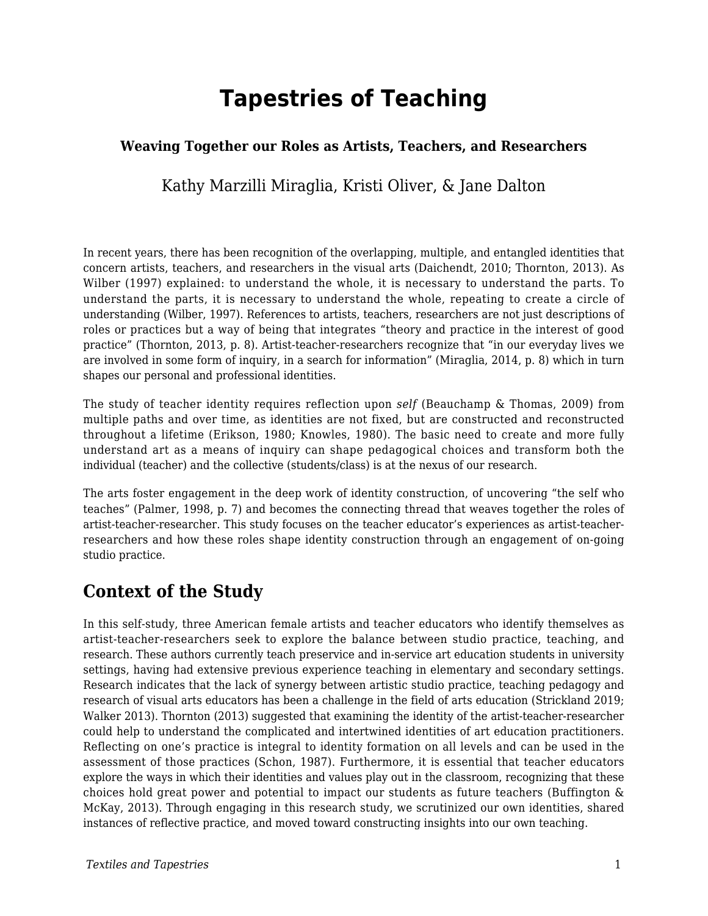# **Tapestries of Teaching**

### **Weaving Together our Roles as Artists, Teachers, and Researchers**

Kathy Marzilli Miraglia, Kristi Oliver, & Jane Dalton

In recent years, there has been recognition of the overlapping, multiple, and entangled identities that concern artists, teachers, and researchers in the visual arts (Daichendt, 2010; Thornton, 2013). As Wilber (1997) explained: to understand the whole, it is necessary to understand the parts. To understand the parts, it is necessary to understand the whole, repeating to create a circle of understanding (Wilber, 1997). References to artists, teachers, researchers are not just descriptions of roles or practices but a way of being that integrates "theory and practice in the interest of good practice" (Thornton, 2013, p. 8). Artist-teacher-researchers recognize that "in our everyday lives we are involved in some form of inquiry, in a search for information" (Miraglia, 2014, p. 8) which in turn shapes our personal and professional identities.

The study of teacher identity requires reflection upon *self* (Beauchamp & Thomas, 2009) from multiple paths and over time, as identities are not fixed, but are constructed and reconstructed throughout a lifetime (Erikson, 1980; Knowles, 1980). The basic need to create and more fully understand art as a means of inquiry can shape pedagogical choices and transform both the individual (teacher) and the collective (students/class) is at the nexus of our research.

The arts foster engagement in the deep work of identity construction, of uncovering "the self who teaches" (Palmer, 1998, p. 7) and becomes the connecting thread that weaves together the roles of artist-teacher-researcher. This study focuses on the teacher educator's experiences as artist-teacherresearchers and how these roles shape identity construction through an engagement of on-going studio practice.

### **Context of the Study**

In this self-study, three American female artists and teacher educators who identify themselves as artist-teacher-researchers seek to explore the balance between studio practice, teaching, and research. These authors currently teach preservice and in-service art education students in university settings, having had extensive previous experience teaching in elementary and secondary settings. Research indicates that the lack of synergy between artistic studio practice, teaching pedagogy and research of visual arts educators has been a challenge in the field of arts education (Strickland 2019; Walker 2013). Thornton (2013) suggested that examining the identity of the artist-teacher-researcher could help to understand the complicated and intertwined identities of art education practitioners. Reflecting on one's practice is integral to identity formation on all levels and can be used in the assessment of those practices (Schon, 1987). Furthermore, it is essential that teacher educators explore the ways in which their identities and values play out in the classroom, recognizing that these choices hold great power and potential to impact our students as future teachers (Buffington & McKay, 2013). Through engaging in this research study, we scrutinized our own identities, shared instances of reflective practice, and moved toward constructing insights into our own teaching.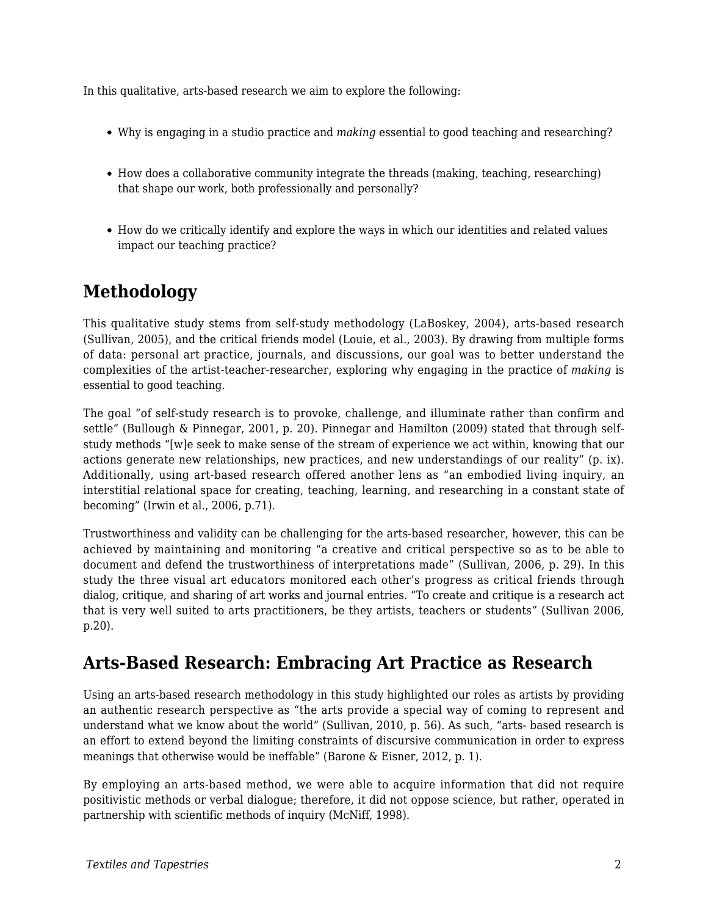In this qualitative, arts-based research we aim to explore the following:

- Why is engaging in a studio practice and *making* essential to good teaching and researching?
- How does a collaborative community integrate the threads (making, teaching, researching) that shape our work, both professionally and personally?
- How do we critically identify and explore the ways in which our identities and related values impact our teaching practice?

# **Methodology**

This qualitative study stems from self-study methodology (LaBoskey, 2004), arts-based research (Sullivan, 2005), and the critical friends model (Louie, et al., 2003). By drawing from multiple forms of data: personal art practice, journals, and discussions, our goal was to better understand the complexities of the artist-teacher-researcher, exploring why engaging in the practice of *making* is essential to good teaching.

The goal "of self-study research is to provoke, challenge, and illuminate rather than confirm and settle" (Bullough & Pinnegar, 2001, p. 20). Pinnegar and Hamilton (2009) stated that through selfstudy methods "[w]e seek to make sense of the stream of experience we act within, knowing that our actions generate new relationships, new practices, and new understandings of our reality" (p. ix). Additionally, using art-based research offered another lens as "an embodied living inquiry, an interstitial relational space for creating, teaching, learning, and researching in a constant state of becoming" (Irwin et al., 2006, p.71).

Trustworthiness and validity can be challenging for the arts-based researcher, however, this can be achieved by maintaining and monitoring "a creative and critical perspective so as to be able to document and defend the trustworthiness of interpretations made" (Sullivan, 2006, p. 29). In this study the three visual art educators monitored each other's progress as critical friends through dialog, critique, and sharing of art works and journal entries. "To create and critique is a research act that is very well suited to arts practitioners, be they artists, teachers or students" (Sullivan 2006, p.20).

# **Arts-Based Research: Embracing Art Practice as Research**

Using an arts-based research methodology in this study highlighted our roles as artists by providing an authentic research perspective as "the arts provide a special way of coming to represent and understand what we know about the world" (Sullivan, 2010, p. 56). As such, "arts- based research is an effort to extend beyond the limiting constraints of discursive communication in order to express meanings that otherwise would be ineffable" (Barone & Eisner, 2012, p. 1).

By employing an arts-based method, we were able to acquire information that did not require positivistic methods or verbal dialogue; therefore, it did not oppose science, but rather, operated in partnership with scientific methods of inquiry (McNiff, 1998).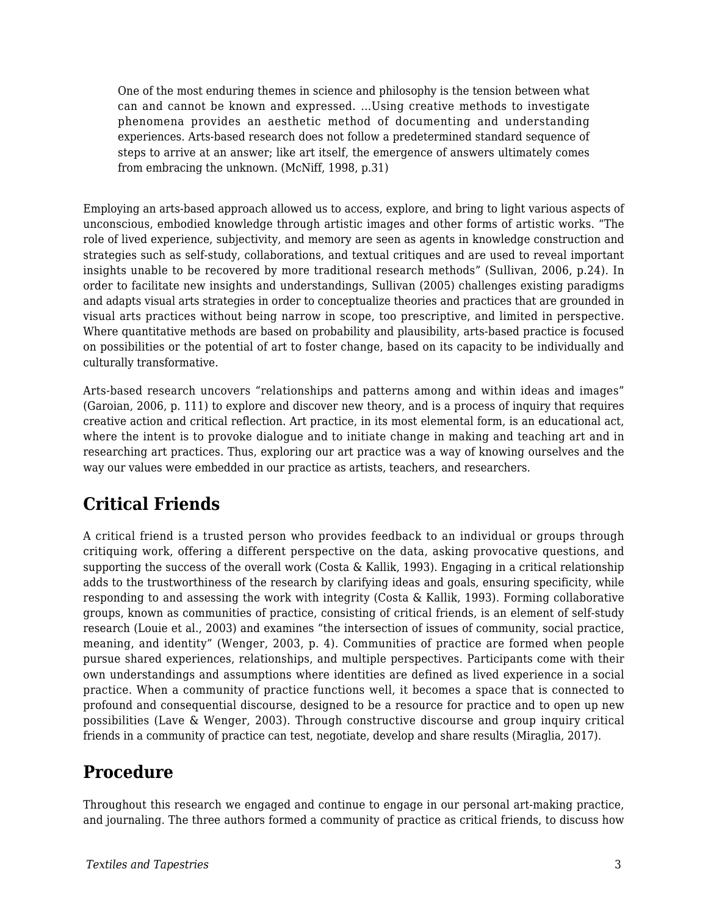One of the most enduring themes in science and philosophy is the tension between what can and cannot be known and expressed. …Using creative methods to investigate phenomena provides an aesthetic method of documenting and understanding experiences. Arts-based research does not follow a predetermined standard sequence of steps to arrive at an answer; like art itself, the emergence of answers ultimately comes from embracing the unknown. (McNiff, 1998, p.31)

Employing an arts-based approach allowed us to access, explore, and bring to light various aspects of unconscious, embodied knowledge through artistic images and other forms of artistic works. "The role of lived experience, subjectivity, and memory are seen as agents in knowledge construction and strategies such as self-study, collaborations, and textual critiques and are used to reveal important insights unable to be recovered by more traditional research methods" (Sullivan, 2006, p.24). In order to facilitate new insights and understandings, Sullivan (2005) challenges existing paradigms and adapts visual arts strategies in order to conceptualize theories and practices that are grounded in visual arts practices without being narrow in scope, too prescriptive, and limited in perspective. Where quantitative methods are based on probability and plausibility, arts-based practice is focused on possibilities or the potential of art to foster change, based on its capacity to be individually and culturally transformative.

Arts-based research uncovers "relationships and patterns among and within ideas and images" (Garoian, 2006, p. 111) to explore and discover new theory, and is a process of inquiry that requires creative action and critical reflection. Art practice, in its most elemental form, is an educational act, where the intent is to provoke dialogue and to initiate change in making and teaching art and in researching art practices. Thus, exploring our art practice was a way of knowing ourselves and the way our values were embedded in our practice as artists, teachers, and researchers.

# **Critical Friends**

A critical friend is a trusted person who provides feedback to an individual or groups through critiquing work, offering a different perspective on the data, asking provocative questions, and supporting the success of the overall work (Costa & Kallik, 1993). Engaging in a critical relationship adds to the trustworthiness of the research by clarifying ideas and goals, ensuring specificity, while responding to and assessing the work with integrity (Costa & Kallik, 1993). Forming collaborative groups, known as communities of practice, consisting of critical friends, is an element of self-study research (Louie et al., 2003) and examines "the intersection of issues of community, social practice, meaning, and identity" (Wenger, 2003, p. 4). Communities of practice are formed when people pursue shared experiences, relationships, and multiple perspectives. Participants come with their own understandings and assumptions where identities are defined as lived experience in a social practice. When a community of practice functions well, it becomes a space that is connected to profound and consequential discourse, designed to be a resource for practice and to open up new possibilities (Lave & Wenger, 2003). Through constructive discourse and group inquiry critical friends in a community of practice can test, negotiate, develop and share results (Miraglia, 2017).

# **Procedure**

Throughout this research we engaged and continue to engage in our personal art-making practice, and journaling. The three authors formed a community of practice as critical friends, to discuss how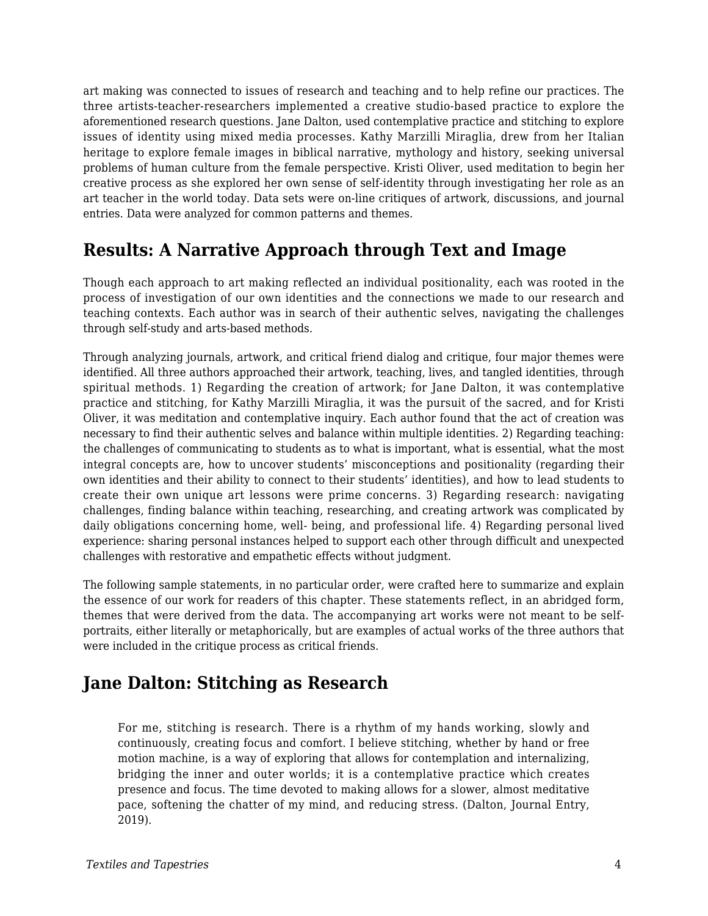art making was connected to issues of research and teaching and to help refine our practices. The three artists-teacher-researchers implemented a creative studio-based practice to explore the aforementioned research questions. Jane Dalton, used contemplative practice and stitching to explore issues of identity using mixed media processes. Kathy Marzilli Miraglia, drew from her Italian heritage to explore female images in biblical narrative, mythology and history, seeking universal problems of human culture from the female perspective. Kristi Oliver, used meditation to begin her creative process as she explored her own sense of self-identity through investigating her role as an art teacher in the world today. Data sets were on-line critiques of artwork, discussions, and journal entries. Data were analyzed for common patterns and themes.

### **Results: A Narrative Approach through Text and Image**

Though each approach to art making reflected an individual positionality, each was rooted in the process of investigation of our own identities and the connections we made to our research and teaching contexts. Each author was in search of their authentic selves, navigating the challenges through self-study and arts-based methods.

Through analyzing journals, artwork, and critical friend dialog and critique, four major themes were identified. All three authors approached their artwork, teaching, lives, and tangled identities, through spiritual methods. 1) Regarding the creation of artwork; for Jane Dalton, it was contemplative practice and stitching, for Kathy Marzilli Miraglia, it was the pursuit of the sacred, and for Kristi Oliver, it was meditation and contemplative inquiry. Each author found that the act of creation was necessary to find their authentic selves and balance within multiple identities. 2) Regarding teaching: the challenges of communicating to students as to what is important, what is essential, what the most integral concepts are, how to uncover students' misconceptions and positionality (regarding their own identities and their ability to connect to their students' identities), and how to lead students to create their own unique art lessons were prime concerns. 3) Regarding research: navigating challenges, finding balance within teaching, researching, and creating artwork was complicated by daily obligations concerning home, well- being, and professional life. 4) Regarding personal lived experience: sharing personal instances helped to support each other through difficult and unexpected challenges with restorative and empathetic effects without judgment.

The following sample statements, in no particular order, were crafted here to summarize and explain the essence of our work for readers of this chapter. These statements reflect, in an abridged form, themes that were derived from the data. The accompanying art works were not meant to be selfportraits, either literally or metaphorically, but are examples of actual works of the three authors that were included in the critique process as critical friends.

# **Jane Dalton: Stitching as Research**

For me, stitching is research. There is a rhythm of my hands working, slowly and continuously, creating focus and comfort. I believe stitching, whether by hand or free motion machine, is a way of exploring that allows for contemplation and internalizing, bridging the inner and outer worlds; it is a contemplative practice which creates presence and focus. The time devoted to making allows for a slower, almost meditative pace, softening the chatter of my mind, and reducing stress. (Dalton, Journal Entry, 2019).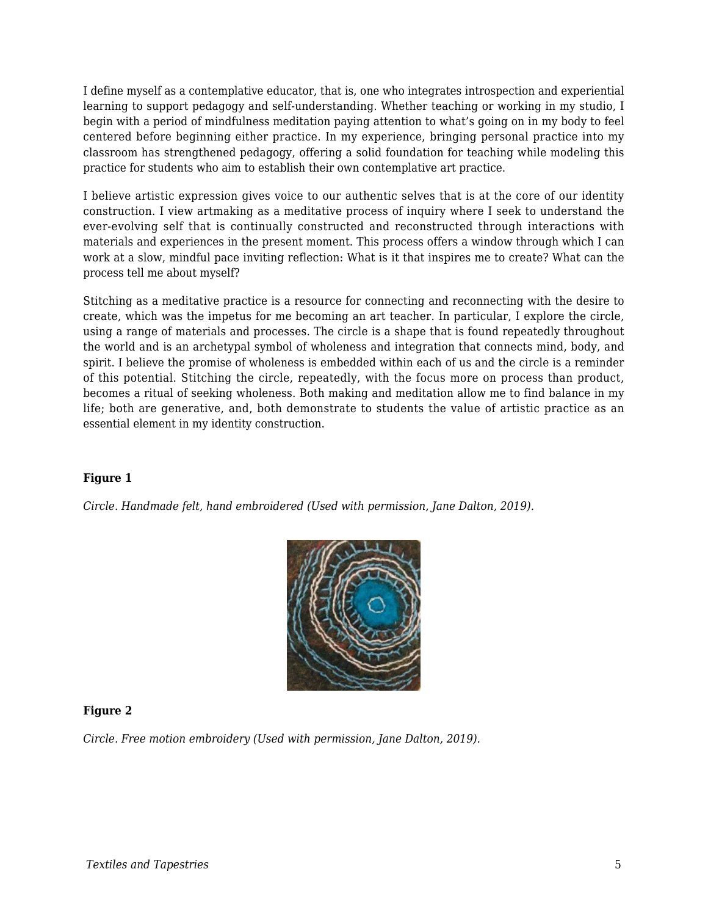I define myself as a contemplative educator, that is, one who integrates introspection and experiential learning to support pedagogy and self-understanding. Whether teaching or working in my studio, I begin with a period of mindfulness meditation paying attention to what's going on in my body to feel centered before beginning either practice. In my experience, bringing personal practice into my classroom has strengthened pedagogy, offering a solid foundation for teaching while modeling this practice for students who aim to establish their own contemplative art practice.

I believe artistic expression gives voice to our authentic selves that is at the core of our identity construction. I view artmaking as a meditative process of inquiry where I seek to understand the ever-evolving self that is continually constructed and reconstructed through interactions with materials and experiences in the present moment. This process offers a window through which I can work at a slow, mindful pace inviting reflection: What is it that inspires me to create? What can the process tell me about myself?

Stitching as a meditative practice is a resource for connecting and reconnecting with the desire to create, which was the impetus for me becoming an art teacher. In particular, I explore the circle, using a range of materials and processes. The circle is a shape that is found repeatedly throughout the world and is an archetypal symbol of wholeness and integration that connects mind, body, and spirit. I believe the promise of wholeness is embedded within each of us and the circle is a reminder of this potential. Stitching the circle, repeatedly, with the focus more on process than product, becomes a ritual of seeking wholeness. Both making and meditation allow me to find balance in my life; both are generative, and, both demonstrate to students the value of artistic practice as an essential element in my identity construction.

### **Figure 1**

*Circle. Handmade felt, hand embroidered (Used with permission, Jane Dalton, 2019).*



### **Figure 2**

*Circle. Free motion embroidery (Used with permission, Jane Dalton, 2019).*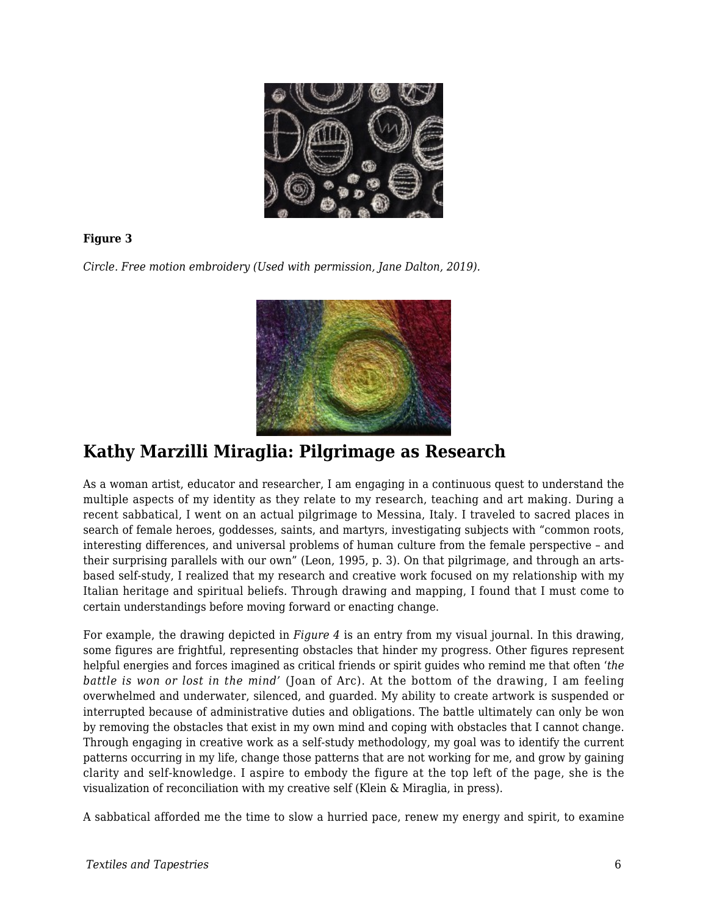

### **Figure 3**

*Circle. Free motion embroidery (Used with permission, Jane Dalton, 2019).*



### **Kathy Marzilli Miraglia: Pilgrimage as Research**

As a woman artist, educator and researcher, I am engaging in a continuous quest to understand the multiple aspects of my identity as they relate to my research, teaching and art making. During a recent sabbatical, I went on an actual pilgrimage to Messina, Italy. I traveled to sacred places in search of female heroes, goddesses, saints, and martyrs, investigating subjects with "common roots, interesting differences, and universal problems of human culture from the female perspective – and their surprising parallels with our own" (Leon, 1995, p. 3). On that pilgrimage, and through an artsbased self-study, I realized that my research and creative work focused on my relationship with my Italian heritage and spiritual beliefs. Through drawing and mapping, I found that I must come to certain understandings before moving forward or enacting change.

For example, the drawing depicted in *Figure 4* is an entry from my visual journal. In this drawing, some figures are frightful, representing obstacles that hinder my progress. Other figures represent helpful energies and forces imagined as critical friends or spirit guides who remind me that often '*the battle is won or lost in the mind'* (Joan of Arc). At the bottom of the drawing, I am feeling overwhelmed and underwater, silenced, and guarded. My ability to create artwork is suspended or interrupted because of administrative duties and obligations. The battle ultimately can only be won by removing the obstacles that exist in my own mind and coping with obstacles that I cannot change. Through engaging in creative work as a self-study methodology, my goal was to identify the current patterns occurring in my life, change those patterns that are not working for me, and grow by gaining clarity and self-knowledge. I aspire to embody the figure at the top left of the page, she is the visualization of reconciliation with my creative self (Klein & Miraglia, in press).

A sabbatical afforded me the time to slow a hurried pace, renew my energy and spirit, to examine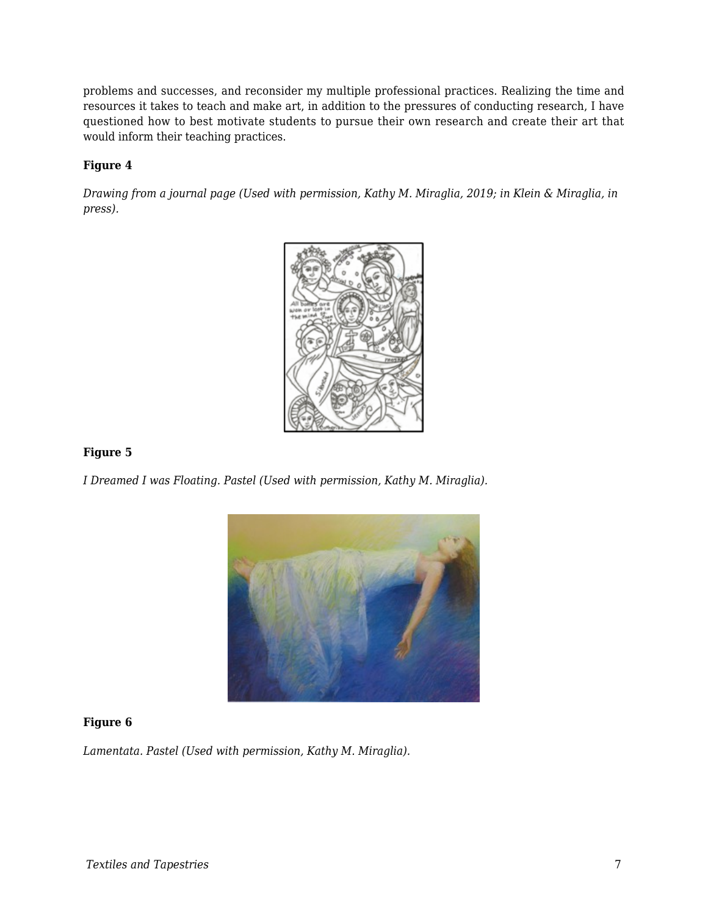problems and successes, and reconsider my multiple professional practices. Realizing the time and resources it takes to teach and make art, in addition to the pressures of conducting research, I have questioned how to best motivate students to pursue their own research and create their art that would inform their teaching practices.

### **Figure 4**

*Drawing from a journal page (Used with permission, Kathy M. Miraglia, 2019; in Klein & Miraglia, in press).*



#### **Figure 5**

*I Dreamed I was Floating. Pastel (Used with permission, Kathy M. Miraglia).*



### **Figure 6**

*Lamentata. Pastel (Used with permission, Kathy M. Miraglia).*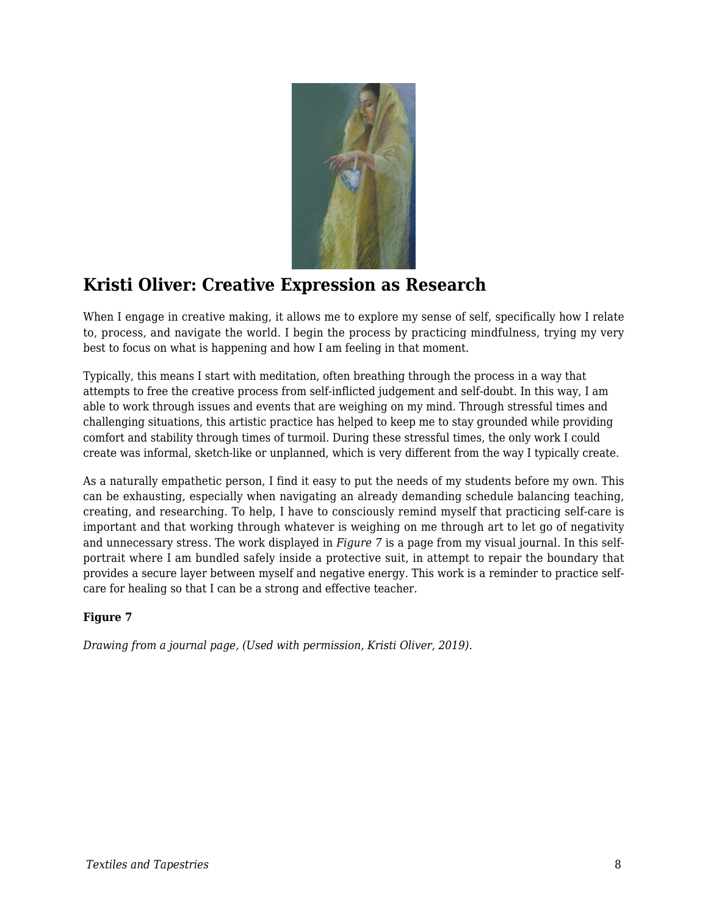

# **Kristi Oliver: Creative Expression as Research**

When I engage in creative making, it allows me to explore my sense of self, specifically how I relate to, process, and navigate the world. I begin the process by practicing mindfulness, trying my very best to focus on what is happening and how I am feeling in that moment.

Typically, this means I start with meditation, often breathing through the process in a way that attempts to free the creative process from self-inflicted judgement and self-doubt. In this way, I am able to work through issues and events that are weighing on my mind. Through stressful times and challenging situations, this artistic practice has helped to keep me to stay grounded while providing comfort and stability through times of turmoil. During these stressful times, the only work I could create was informal, sketch-like or unplanned, which is very different from the way I typically create.

As a naturally empathetic person, I find it easy to put the needs of my students before my own. This can be exhausting, especially when navigating an already demanding schedule balancing teaching, creating, and researching. To help, I have to consciously remind myself that practicing self-care is important and that working through whatever is weighing on me through art to let go of negativity and unnecessary stress. The work displayed in *Figure 7* is a page from my visual journal. In this selfportrait where I am bundled safely inside a protective suit, in attempt to repair the boundary that provides a secure layer between myself and negative energy. This work is a reminder to practice selfcare for healing so that I can be a strong and effective teacher.

### **Figure 7**

*Drawing from a journal page, (Used with permission, Kristi Oliver, 2019).*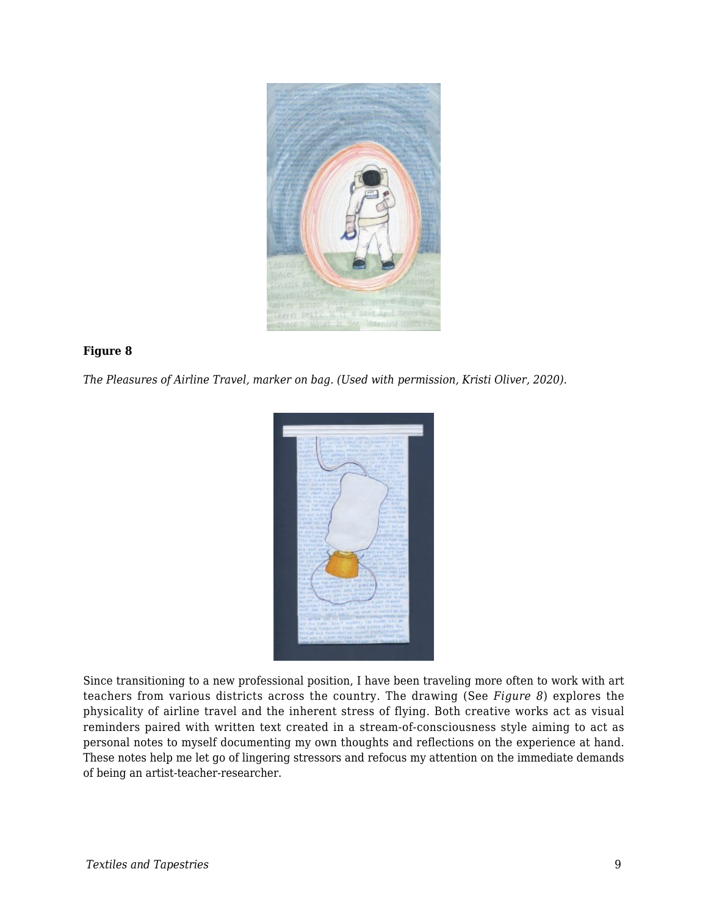

#### **Figure 8**

*The Pleasures of Airline Travel, marker on bag. (Used with permission, Kristi Oliver, 2020).*



Since transitioning to a new professional position, I have been traveling more often to work with art teachers from various districts across the country. The drawing (See *Figure 8*) explores the physicality of airline travel and the inherent stress of flying. Both creative works act as visual reminders paired with written text created in a stream-of-consciousness style aiming to act as personal notes to myself documenting my own thoughts and reflections on the experience at hand. These notes help me let go of lingering stressors and refocus my attention on the immediate demands of being an artist-teacher-researcher.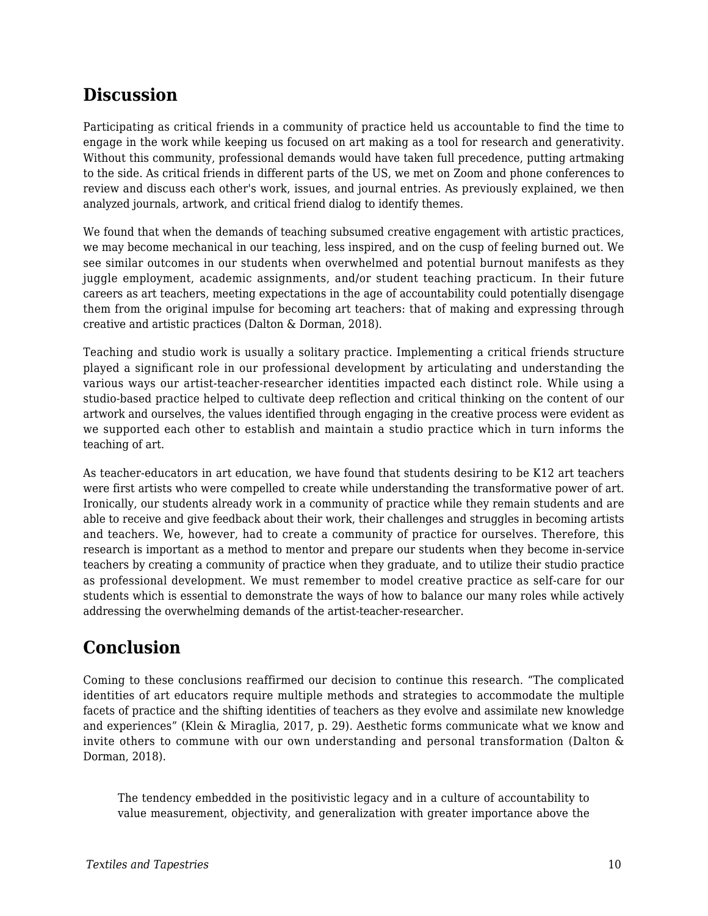## **Discussion**

Participating as critical friends in a community of practice held us accountable to find the time to engage in the work while keeping us focused on art making as a tool for research and generativity. Without this community, professional demands would have taken full precedence, putting artmaking to the side. As critical friends in different parts of the US, we met on Zoom and phone conferences to review and discuss each other's work, issues, and journal entries. As previously explained, we then analyzed journals, artwork, and critical friend dialog to identify themes.

We found that when the demands of teaching subsumed creative engagement with artistic practices, we may become mechanical in our teaching, less inspired, and on the cusp of feeling burned out. We see similar outcomes in our students when overwhelmed and potential burnout manifests as they juggle employment, academic assignments, and/or student teaching practicum. In their future careers as art teachers, meeting expectations in the age of accountability could potentially disengage them from the original impulse for becoming art teachers: that of making and expressing through creative and artistic practices (Dalton & Dorman, 2018).

Teaching and studio work is usually a solitary practice. Implementing a critical friends structure played a significant role in our professional development by articulating and understanding the various ways our artist-teacher-researcher identities impacted each distinct role. While using a studio-based practice helped to cultivate deep reflection and critical thinking on the content of our artwork and ourselves, the values identified through engaging in the creative process were evident as we supported each other to establish and maintain a studio practice which in turn informs the teaching of art.

As teacher-educators in art education, we have found that students desiring to be K12 art teachers were first artists who were compelled to create while understanding the transformative power of art. Ironically, our students already work in a community of practice while they remain students and are able to receive and give feedback about their work, their challenges and struggles in becoming artists and teachers. We, however, had to create a community of practice for ourselves. Therefore, this research is important as a method to mentor and prepare our students when they become in-service teachers by creating a community of practice when they graduate, and to utilize their studio practice as professional development. We must remember to model creative practice as self-care for our students which is essential to demonstrate the ways of how to balance our many roles while actively addressing the overwhelming demands of the artist-teacher-researcher.

# **Conclusion**

Coming to these conclusions reaffirmed our decision to continue this research. "The complicated identities of art educators require multiple methods and strategies to accommodate the multiple facets of practice and the shifting identities of teachers as they evolve and assimilate new knowledge and experiences" (Klein & Miraglia, 2017, p. 29). Aesthetic forms communicate what we know and invite others to commune with our own understanding and personal transformation (Dalton & Dorman, 2018).

The tendency embedded in the positivistic legacy and in a culture of accountability to value measurement, objectivity, and generalization with greater importance above the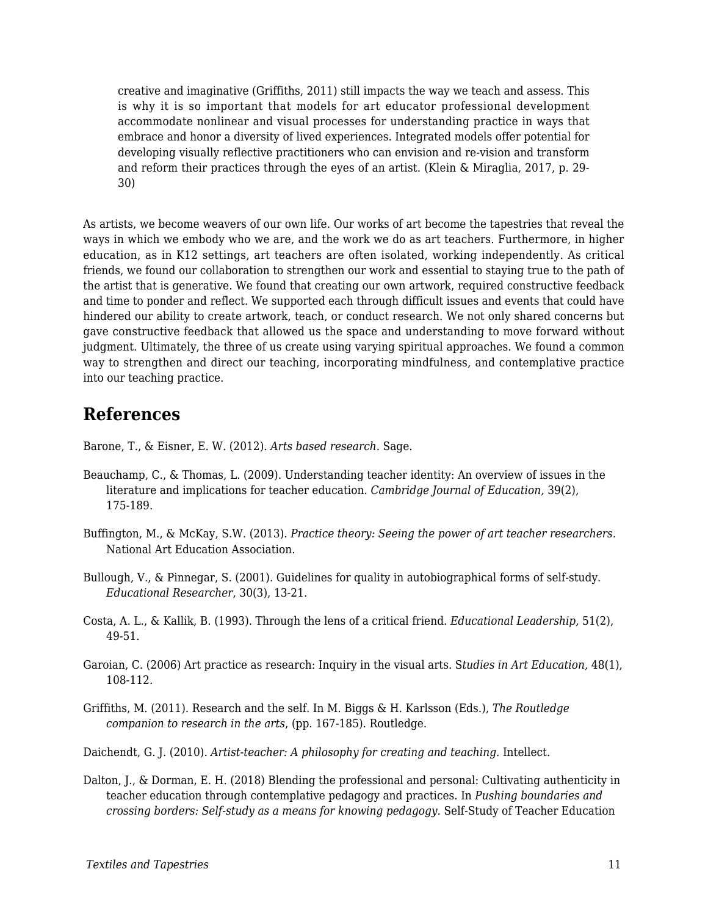creative and imaginative (Griffiths, 2011) still impacts the way we teach and assess. This is why it is so important that models for art educator professional development accommodate nonlinear and visual processes for understanding practice in ways that embrace and honor a diversity of lived experiences. Integrated models offer potential for developing visually reflective practitioners who can envision and re-vision and transform and reform their practices through the eyes of an artist. (Klein & Miraglia, 2017, p. 29- 30)

As artists, we become weavers of our own life. Our works of art become the tapestries that reveal the ways in which we embody who we are, and the work we do as art teachers. Furthermore, in higher education, as in K12 settings, art teachers are often isolated, working independently. As critical friends, we found our collaboration to strengthen our work and essential to staying true to the path of the artist that is generative. We found that creating our own artwork, required constructive feedback and time to ponder and reflect. We supported each through difficult issues and events that could have hindered our ability to create artwork, teach, or conduct research. We not only shared concerns but gave constructive feedback that allowed us the space and understanding to move forward without judgment. Ultimately, the three of us create using varying spiritual approaches. We found a common way to strengthen and direct our teaching, incorporating mindfulness, and contemplative practice into our teaching practice.

### **References**

Barone, T., & Eisner, E. W. (2012). *Arts based research.* Sage.

- Beauchamp, C., & Thomas, L. (2009). Understanding teacher identity: An overview of issues in the literature and implications for teacher education. *Cambridge Journal of Education,* 39(2), 175-189.
- Buffington, M., & McKay, S.W. (2013). *Practice theory: Seeing the power of art teacher researchers.* National Art Education Association.
- Bullough, V., & Pinnegar, S. (2001). Guidelines for quality in autobiographical forms of self-study. *Educational Researcher*, 30(3), 13-21.
- Costa, A. L., & Kallik, B. (1993). Through the lens of a critical friend. *Educational Leadership,* 51(2), 49-51.
- Garoian, C. (2006) Art practice as research: Inquiry in the visual arts. S*tudies in Art Education,* 48(1), 108-112.
- Griffiths, M. (2011). Research and the self. In M. Biggs & H. Karlsson (Eds.), *The Routledge companion to research in the arts*, (pp. 167-185). Routledge.

Daichendt, G. J. (2010). *Artist-teacher: A philosophy for creating and teaching.* Intellect.

Dalton, J., & Dorman, E. H. (2018) Blending the professional and personal: Cultivating authenticity in teacher education through contemplative pedagogy and practices. In *Pushing boundaries and crossing borders: Self-study as a means for knowing pedagogy*. Self-Study of Teacher Education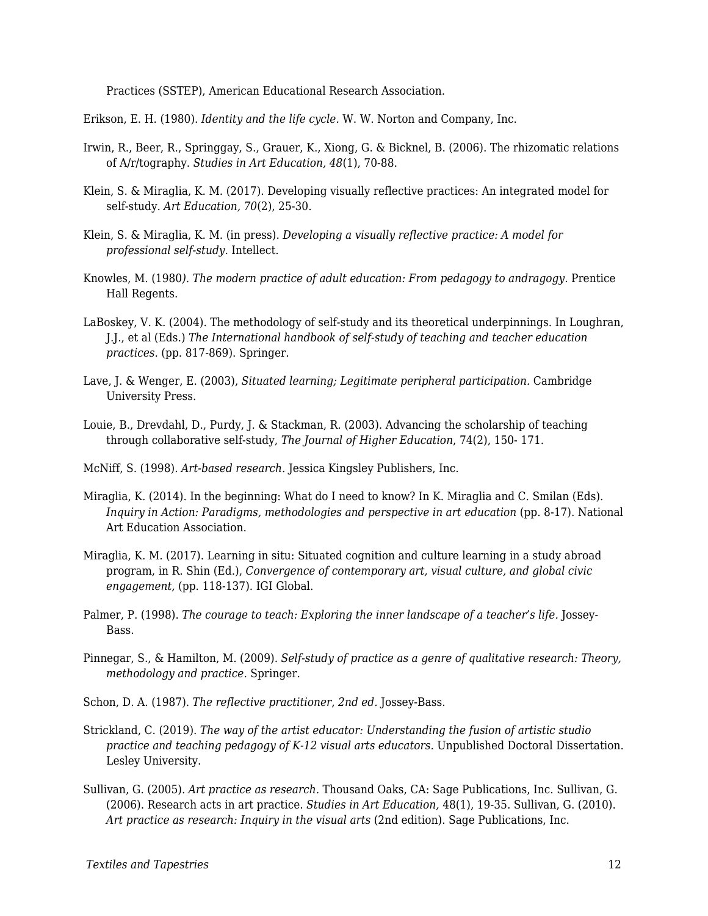Practices (SSTEP), American Educational Research Association.

Erikson, E. H. (1980). *Identity and the life cycle.* W. W. Norton and Company, Inc.

- Irwin, R., Beer, R., Springgay, S., Grauer, K., Xiong, G. & Bicknel, B. (2006). The rhizomatic relations of A/r/tography. *Studies in Art Education, 48*(1), 70-88.
- Klein, S. & Miraglia, K. M. (2017). Developing visually reflective practices: An integrated model for self-study. *Art Education, 70*(2), 25-30.
- Klein, S. & Miraglia, K. M. (in press). *Developing a visually reflective practice: A model for professional self-study*. Intellect.
- Knowles, M. (1980*). The modern practice of adult education: From pedagogy to andragogy.* Prentice Hall Regents.
- LaBoskey, V. K. (2004). The methodology of self-study and its theoretical underpinnings. In Loughran, J.J., et al (Eds.) *The International handbook of self-study of teaching and teacher education practices*. (pp. 817-869). Springer.
- Lave, J. & Wenger, E. (2003), *Situated learning; Legitimate peripheral participation.* Cambridge University Press.
- Louie, B., Drevdahl, D., Purdy, J. & Stackman, R. (2003). Advancing the scholarship of teaching through collaborative self-study, *The Journal of Higher Education*, 74(2), 150- 171.

McNiff, S. (1998). *Art-based research.* Jessica Kingsley Publishers, Inc.

- Miraglia, K. (2014). In the beginning: What do I need to know? In K. Miraglia and C. Smilan (Eds). *Inquiry in Action: Paradigms, methodologies and perspective in art education (pp. 8-17).* National Art Education Association.
- Miraglia, K. M. (2017). Learning in situ: Situated cognition and culture learning in a study abroad program, in R. Shin (Ed.), *Convergence of contemporary art, visual culture, and global civic engagement,* (pp. 118-137). IGI Global.
- Palmer, P. (1998). *The courage to teach: Exploring the inner landscape of a teacher's life.* Jossey-Bass.
- Pinnegar, S., & Hamilton, M. (2009). *Self-study of practice as a genre of qualitative research: Theory, methodology and practice.* Springer.
- Schon, D. A. (1987). *The reflective practitioner*, *2nd ed.* Jossey-Bass.
- Strickland, C. (2019). *The way of the artist educator: Understanding the fusion of artistic studio practice and teaching pedagogy of K-12 visual arts educators.* Unpublished Doctoral Dissertation. Lesley University.
- Sullivan, G. (2005). *Art practice as research.* Thousand Oaks, CA: Sage Publications, Inc. Sullivan, G. (2006). Research acts in art practice. *Studies in Art Education,* 48(1), 19-35. Sullivan, G. (2010). *Art practice as research: Inquiry in the visual arts* (2nd edition). Sage Publications, Inc.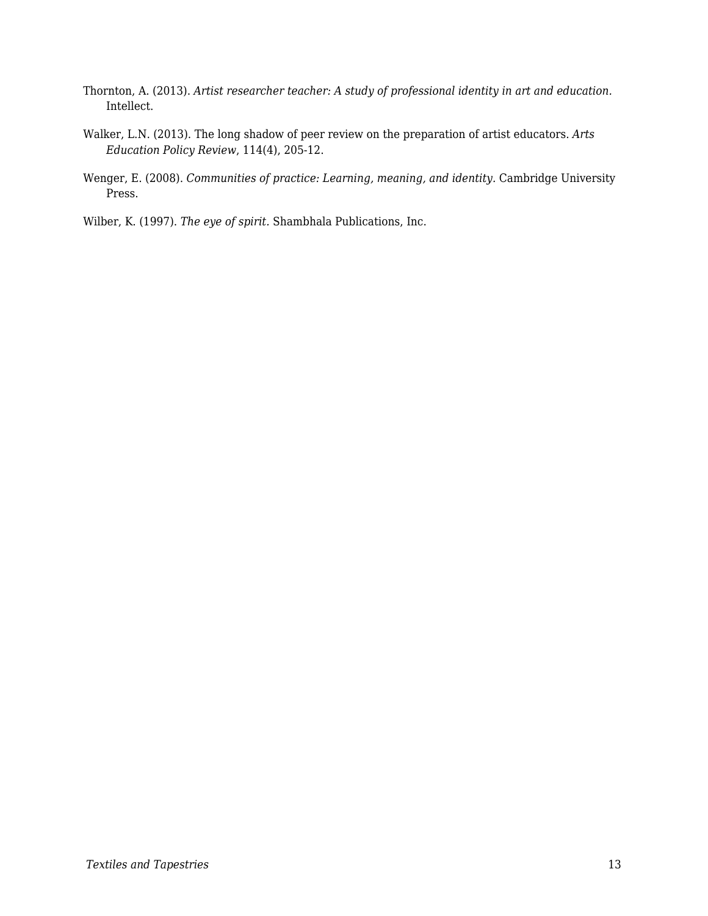- Thornton, A. (2013). *Artist researcher teacher: A study of professional identity in art and education.* Intellect.
- Walker, L.N. (2013). The long shadow of peer review on the preparation of artist educators. *Arts Education Policy Review*, 114(4), 205-12.
- Wenger, E. (2008). *Communities of practice: Learning, meaning, and identity.* Cambridge University Press.

Wilber, K. (1997). *The eye of spirit.* Shambhala Publications, Inc.